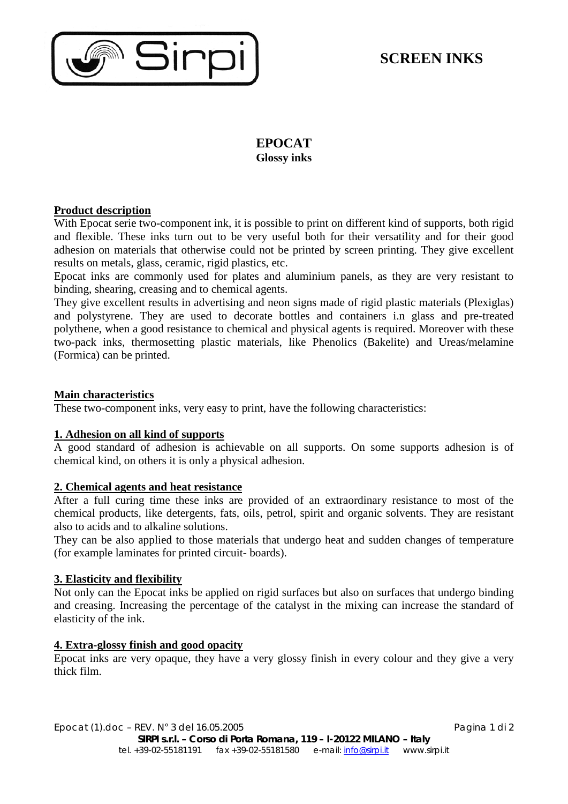

## **EPOCAT Glossy inks**

## **Product description**

With Epocat serie two-component ink, it is possible to print on different kind of supports, both rigid and flexible. These inks turn out to be very useful both for their versatility and for their good adhesion on materials that otherwise could not be printed by screen printing. They give excellent results on metals, glass, ceramic, rigid plastics, etc.

Epocat inks are commonly used for plates and aluminium panels, as they are very resistant to binding, shearing, creasing and to chemical agents.

They give excellent results in advertising and neon signs made of rigid plastic materials (Plexiglas) and polystyrene. They are used to decorate bottles and containers i.n glass and pre-treated polythene, when a good resistance to chemical and physical agents is required. Moreover with these two-pack inks, thermosetting plastic materials, like Phenolics (Bakelite) and Ureas/melamine (Formica) can be printed.

## **Main characteristics**

These two-component inks, very easy to print, have the following characteristics:

## **1. Adhesion on all kind of supports**

A good standard of adhesion is achievable on all supports. On some supports adhesion is of chemical kind, on others it is only a physical adhesion.

## **2. Chemical agents and heat resistance**

After a full curing time these inks are provided of an extraordinary resistance to most of the chemical products, like detergents, fats, oils, petrol, spirit and organic solvents. They are resistant also to acids and to alkaline solutions.

They can be also applied to those materials that undergo heat and sudden changes of temperature (for example laminates for printed circuit- boards).

## **3. Elasticity and flexibility**

Not only can the Epocat inks be applied on rigid surfaces but also on surfaces that undergo binding and creasing. Increasing the percentage of the catalyst in the mixing can increase the standard of elasticity of the ink.

## **4. Extra-glossy finish and good opacity**

Epocat inks are very opaque, they have a very glossy finish in every colour and they give a very thick film.